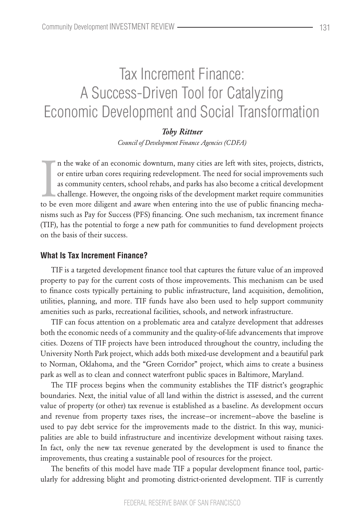# Tax Increment Finance: A Success-Driven Tool for Catalyzing Economic Development and Social Transformation

# *Toby Rittner*

*Council of Development Finance Agencies (CDFA)*

In the wake of an economic downturn, many cities are left with sites, projects, districts, or entire urban cores requiring redevelopment. The need for social improvements such as community centers, school rehabs, and parks n the wake of an economic downturn, many cities are left with sites, projects, districts, or entire urban cores requiring redevelopment. The need for social improvements such as community centers, school rehabs, and parks has also become a critical development challenge. However, the ongoing risks of the development market require communities nisms such as Pay for Success (PFS) financing. One such mechanism, tax increment finance (TIF), has the potential to forge a new path for communities to fund development projects on the basis of their success.

## **What Is Tax Increment Finance?**

TIF is a targeted development finance tool that captures the future value of an improved property to pay for the current costs of those improvements. This mechanism can be used to finance costs typically pertaining to public infrastructure, land acquisition, demolition, utilities, planning, and more. TIF funds have also been used to help support community amenities such as parks, recreational facilities, schools, and network infrastructure.

TIF can focus attention on a problematic area and catalyze development that addresses both the economic needs of a community and the quality-of-life advancements that improve cities. Dozens of TIF projects have been introduced throughout the country, including the University North Park project, which adds both mixed-use development and a beautiful park to Norman, Oklahoma, and the "Green Corridor" project, which aims to create a business park as well as to clean and connect waterfront public spaces in Baltimore, Maryland.

The TIF process begins when the community establishes the TIF district's geographic boundaries. Next, the initial value of all land within the district is assessed, and the current value of property (or other) tax revenue is established as a baseline. As development occurs and revenue from property taxes rises, the increase—or increment—above the baseline is used to pay debt service for the improvements made to the district. In this way, municipalities are able to build infrastructure and incentivize development without raising taxes. In fact, only the new tax revenue generated by the development is used to finance the improvements, thus creating a sustainable pool of resources for the project.

The benefits of this model have made TIF a popular development finance tool, particularly for addressing blight and promoting district-oriented development. TIF is currently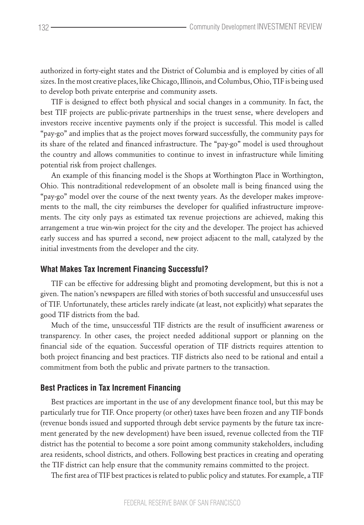authorized in forty-eight states and the District of Columbia and is employed by cities of all sizes. In the most creative places, like Chicago, Illinois, and Columbus, Ohio, TIF is being used to develop both private enterprise and community assets.

TIF is designed to effect both physical and social changes in a community. In fact, the best TIF projects are public-private partnerships in the truest sense, where developers and investors receive incentive payments only if the project is successful. This model is called "pay-go" and implies that as the project moves forward successfully, the community pays for its share of the related and financed infrastructure. The "pay-go" model is used throughout the country and allows communities to continue to invest in infrastructure while limiting potential risk from project challenges.

An example of this financing model is the Shops at Worthington Place in Worthington, Ohio. This nontraditional redevelopment of an obsolete mall is being financed using the "pay-go" model over the course of the next twenty years. As the developer makes improvements to the mall, the city reimburses the developer for qualified infrastructure improvements. The city only pays as estimated tax revenue projections are achieved, making this arrangement a true win-win project for the city and the developer. The project has achieved early success and has spurred a second, new project adjacent to the mall, catalyzed by the initial investments from the developer and the city.

## **What Makes Tax Increment Financing Successful?**

TIF can be effective for addressing blight and promoting development, but this is not a given. The nation's newspapers are filled with stories of both successful and unsuccessful uses of TIF. Unfortunately, these articles rarely indicate (at least, not explicitly) what separates the good TIF districts from the bad.

Much of the time, unsuccessful TIF districts are the result of insufficient awareness or transparency. In other cases, the project needed additional support or planning on the financial side of the equation. Successful operation of TIF districts requires attention to both project financing and best practices. TIF districts also need to be rational and entail a commitment from both the public and private partners to the transaction.

## **Best Practices in Tax Increment Financing**

Best practices are important in the use of any development finance tool, but this may be particularly true for TIF. Once property (or other) taxes have been frozen and any TIF bonds (revenue bonds issued and supported through debt service payments by the future tax increment generated by the new development) have been issued, revenue collected from the TIF district has the potential to become a sore point among community stakeholders, including area residents, school districts, and others. Following best practices in creating and operating the TIF district can help ensure that the community remains committed to the project.

The first area of TIF best practices is related to public policy and statutes. For example, a TIF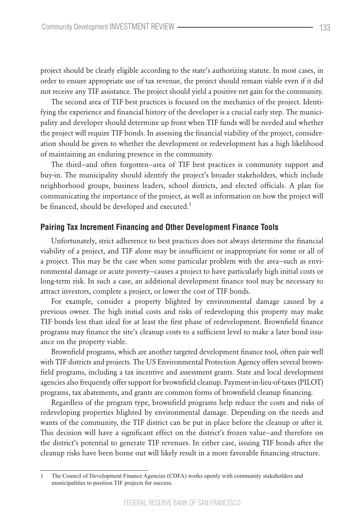project should be clearly eligible according to the state's authorizing statute. In most cases, in order to ensure appropriate use of tax revenue, the project should remain viable even if it did not receive any TIF assistance. The project should yield a positive net gain for the community.

The second area of TIF best practices is focused on the mechanics of the project. Identifying the experience and financial history of the developer is a crucial early step. The municipality and developer should determine up front when TIF funds will be needed and whether the project will require TIF bonds. In assessing the financial viability of the project, consideration should be given to whether the development or redevelopment has a high likelihood of maintaining an enduring presence in the community.

The third—and often forgotten—area of TIF best practices is community support and buy-in. The municipality should identify the project's broader stakeholders, which include neighborhood groups, business leaders, school districts, and elected officials. A plan for communicating the importance of the project, as well as information on how the project will be financed, should be developed and executed.<sup>1</sup>

## **Pairing Tax Increment Financing and Other Development Finance Tools**

Unfortunately, strict adherence to best practices does not always determine the financial viability of a project, and TIF alone may be insufficient or inappropriate for some or all of a project. This may be the case when some particular problem with the area—such as environmental damage or acute poverty—causes a project to have particularly high initial costs or long-term risk. In such a case, an additional development finance tool may be necessary to attract investors, complete a project, or lower the cost of TIF bonds.

For example, consider a property blighted by environmental damage caused by a previous owner. The high initial costs and risks of redeveloping this property may make TIF bonds less than ideal for at least the first phase of redevelopment. Brownfield finance programs may finance the site's cleanup costs to a sufficient level to make a later bond issuance on the property viable.

Brownfield programs, which are another targeted development finance tool, often pair well with TIF districts and projects. The US Environmental Protection Agency offers several brownfield programs, including a tax incentive and assessment grants. State and local development agencies also frequently offer support for brownfield cleanup. Payment-in-lieu-of-taxes (PILOT) programs, tax abatements, and grants are common forms of brownfield cleanup financing.

Regardless of the program type, brownfield programs help reduce the costs and risks of redeveloping properties blighted by environmental damage. Depending on the needs and wants of the community, the TIF district can be put in place before the cleanup or after it. This decision will have a significant effect on the district's frozen value—and therefore on the district's potential to generate TIF revenues. In either case, issuing TIF bonds after the cleanup risks have been borne out will likely result in a more favorable financing structure.

<sup>1</sup> The Council of Development Finance Agencies (CDFA) works openly with community stakeholders and municipalities to position TIF projects for success.